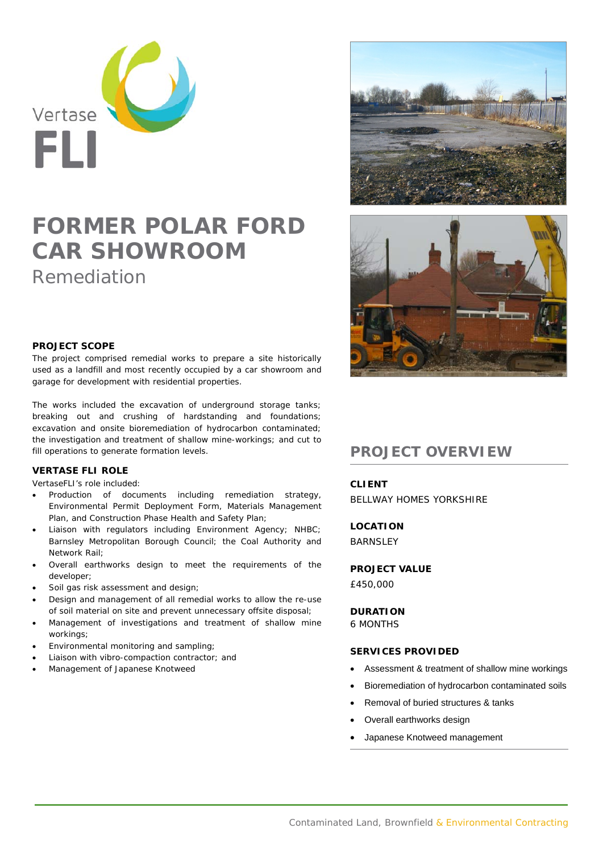

# **FORMER POLAR FORD CAR SHOWROOM**  Remediation





## **PROJECT SCOPE**

The project comprised remedial works to prepare a site historically used as a landfill and most recently occupied by a car showroom and garage for development with residential properties.

The works included the excavation of underground storage tanks; breaking out and crushing of hardstanding and foundations; excavation and onsite bioremediation of hydrocarbon contaminated; the investigation and treatment of shallow mine-workings; and cut to fill operations to generate formation levels.

# **VERTASE FLI ROLE**

VertaseFLI's role included:

- Production of documents including remediation strategy, Environmental Permit Deployment Form, Materials Management Plan, and Construction Phase Health and Safety Plan;
- Liaison with regulators including Environment Agency; NHBC; Barnsley Metropolitan Borough Council; the Coal Authority and Network Rail;
- Overall earthworks design to meet the requirements of the developer;
- Soil gas risk assessment and design;
- Design and management of all remedial works to allow the re-use of soil material on site and prevent unnecessary offsite disposal;
- Management of investigations and treatment of shallow mine workings;
- Environmental monitoring and sampling;
- Liaison with vibro-compaction contractor; and
- Management of Japanese Knotweed

# **PROJECT OVERVIEW**

# **CLIENT**

BELLWAY HOMES YORKSHIRE

**LOCATION BARNSLEY** 

### **PROJECT VALUE**

£450,000

#### **DURATION**

6 MONTHS

### **SERVICES PROVIDED**

- Assessment & treatment of shallow mine workings
- Bioremediation of hydrocarbon contaminated soils
- Removal of buried structures & tanks
- Overall earthworks design
- Japanese Knotweed management